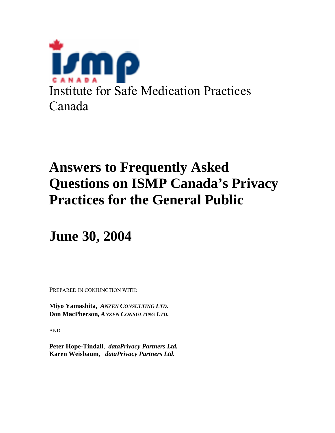

# **Answers to Frequently Asked Questions on ISMP Canada's Privacy Practices for the General Public**

**June 30, 2004** 

PREPARED IN CONJUNCTION WITH:

**Miyo Yamashita,** *ANZEN CONSULTING LTD.* **Don MacPherson***, ANZEN CONSULTING LTD.* 

AND

**Peter Hope-Tindall**, *dataPrivacy Partners Ltd.*  **Karen Weisbaum,** *dataPrivacy Partners Ltd.*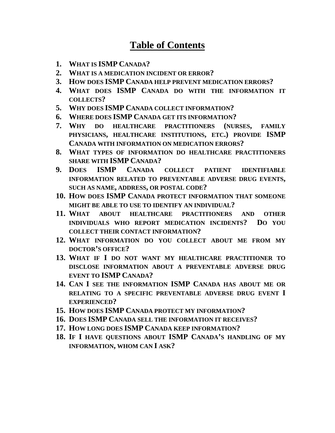# **Table of Contents**

- **1. [WHAT IS ISMP](#page-2-0) CANADA?**
- **2. [WHAT IS A MEDICATION INCIDENT OR ERROR?](#page-2-0)**
- **3. HOW DOES ISMP [CANADA HELP PREVENT MEDICATION ERRORS?](#page-2-0)**
- **4. WHAT DOES ISMP [CANADA DO WITH THE INFORMATION IT](#page-2-0)  COLLECTS?**
- **5. WHY DOES ISMP [CANADA COLLECT INFORMATION?](#page-3-0)**
- **6. WHERE DOES ISMP [CANADA GET ITS INFORMATION?](#page-3-0)**
- **7. [WHY DO HEALTHCARE PRACTITIONERS \(NURSES, FAMILY](#page-4-0)  PHYSICIANS, HEALTHCARE INSTITUTIONS, ETC.) PROVIDE ISMP CANADA WITH INFORMATION ON MEDICATION ERRORS?**
- **8. [WHAT TYPES OF INFORMATION DO HEALTHCARE PRACTITIONERS](#page-4-0)  SHARE WITH ISMP CANADA?**
- **9. DOES ISMP CANADA COLLECT PATIENT IDENTIFIABLE [INFORMATION RELATED TO PREVENTABLE ADVERSE DRUG EVENTS,](#page-5-0) SUCH AS NAME, ADDRESS, OR POSTAL CODE?**
- **10. HOW DOES ISMP CANADA PROTECT INFORMATION THAT SOMEONE [MIGHT BE ABLE TO USE TO IDENTIFY AN INDIVIDUAL?](#page-5-0)**
- **11. WHAT ABOUT HEALTHCARE PRACTITIONERS AND OTHER [INDIVIDUALS WHO REPORT MEDICATION INCIDENTS? DO YOU](#page-5-0)  COLLECT THEIR CONTACT INFORMATION?**
- **12. [WHAT INFORMATION DO YOU COLLECT ABOUT ME FROM MY](#page-6-0)  DOCTOR'S OFFICE?**
- **13. [WHAT IF I DO NOT WANT MY HEALTHCARE PRACTITIONER TO](#page-6-0)  DISCLOSE INFORMATION ABOUT A PREVENTABLE ADVERSE DRUG EVENT TO ISMP CANADA?**
- **14. CAN I SEE THE INFORMATION ISMP CANADA HAS ABOUT ME OR [RELATING TO A SPECIFIC PREVENTABLE ADVERSE DRUG EVENT I](#page-6-0) EXPERIENCED?**
- **15. HOW DOES ISMP [CANADA PROTECT MY INFORMATION?](#page-6-0)**
- **16. DOES ISMP [CANADA SELL THE INFORMATION IT RECEIVES?](#page-7-0)**
- **17. HOW LONG DOES ISMP [CANADA KEEP INFORMATION?](#page-7-0)**
- **18. IF I HAVE QUESTIONS ABOUT ISMP CANADA'S HANDLING OF MY [INFORMATION, WHOM CAN I ASK?](#page-7-0)**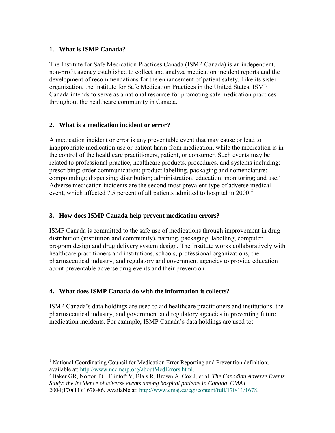# <span id="page-2-0"></span>**1. What is ISMP Canada?**

 $\overline{a}$ 

The Institute for Safe Medication Practices Canada (ISMP Canada) is an independent, non-profit agency established to collect and analyze medication incident reports and the development of recommendations for the enhancement of patient safety. Like its sister organization, the Institute for Safe Medication Practices in the United States, ISMP Canada intends to serve as a national resource for promoting safe medication practices throughout the healthcare community in Canada.

# **2. What is a medication incident or error?**

A medication incident or error is any preventable event that may cause or lead to inappropriate medication use or patient harm from medication, while the medication is in the control of the healthcare practitioners, patient, or consumer. Such events may be related to professional practice, healthcare products, procedures, and systems including: prescribing; order communication; product labelling, packaging and nomenclature; compounding; dispensing; distribution; administration; education; monitoring; and use.<sup>1</sup> Adverse medication incidents are the second most prevalent type of adverse medical event, which affected 7.5 percent of all patients admitted to hospital in 2000.<sup>2</sup>

# **3. How does ISMP Canada help prevent medication errors?**

ISMP Canada is committed to the safe use of medications through improvement in drug distribution (institution and community), naming, packaging, labelling, computer program design and drug delivery system design. The Institute works collaboratively with healthcare practitioners and institutions, schools, professional organizations, the pharmaceutical industry, and regulatory and government agencies to provide education about preventable adverse drug events and their prevention.

# **4. What does ISMP Canada do with the information it collects?**

ISMP Canada's data holdings are used to aid healthcare practitioners and institutions, the pharmaceutical industry, and government and regulatory agencies in preventing future medication incidents. For example, ISMP Canada's data holdings are used to:

<sup>&</sup>lt;sup>1</sup> National Coordinating Council for Medication Error Reporting and Prevention definition; available at: http://www.nccmerp.org/aboutMedErrors.html. 2 Baker GR, Norton PG, Flintoft V, Blais R, Brown A, Cox J, et al. *The Canadian Adverse Events* 

*Study: the incidence of adverse events among hospital patients in Canada*. *CMAJ* 2004;170(11):1678-86. Available at: http://www.cmaj.ca/cgi/content/full/170/11/1678.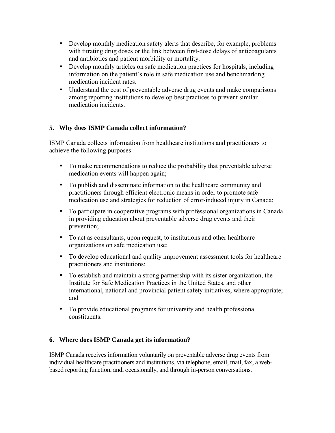- <span id="page-3-0"></span>• Develop monthly medication safety alerts that describe, for example, problems with titrating drug doses or the link between first-dose delays of anticoagulants and antibiotics and patient morbidity or mortality.
- Develop monthly articles on safe medication practices for hospitals, including information on the patient's role in safe medication use and benchmarking medication incident rates.
- Understand the cost of preventable adverse drug events and make comparisons among reporting institutions to develop best practices to prevent similar medication incidents.

# **5. Why does ISMP Canada collect information?**

ISMP Canada collects information from healthcare institutions and practitioners to achieve the following purposes:

- To make recommendations to reduce the probability that preventable adverse medication events will happen again;
- To publish and disseminate information to the healthcare community and practitioners through efficient electronic means in order to promote safe medication use and strategies for reduction of error-induced injury in Canada;
- To participate in cooperative programs with professional organizations in Canada in providing education about preventable adverse drug events and their prevention;
- To act as consultants, upon request, to institutions and other healthcare organizations on safe medication use;
- To develop educational and quality improvement assessment tools for healthcare practitioners and institutions;
- To establish and maintain a strong partnership with its sister organization, the Institute for Safe Medication Practices in the United States, and other international, national and provincial patient safety initiatives, where appropriate; and
- To provide educational programs for university and health professional constituents.

# **6. Where does ISMP Canada get its information?**

ISMP Canada receives information voluntarily on preventable adverse drug events from individual healthcare practitioners and institutions, via telephone, email, mail, fax, a webbased reporting function, and, occasionally, and through in-person conversations.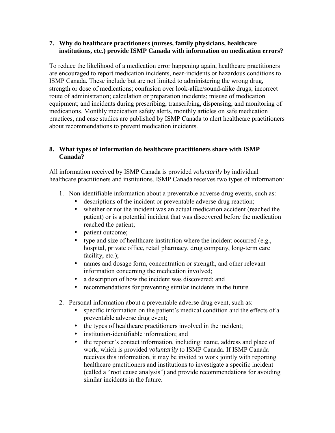#### <span id="page-4-0"></span>**7. Why do healthcare practitioners (nurses, family physicians, healthcare institutions, etc.) provide ISMP Canada with information on medication errors?**

To reduce the likelihood of a medication error happening again, healthcare practitioners are encouraged to report medication incidents, near-incidents or hazardous conditions to ISMP Canada. These include but are not limited to administering the wrong drug, strength or dose of medications; confusion over look-alike/sound-alike drugs; incorrect route of administration; calculation or preparation incidents; misuse of medication equipment; and incidents during prescribing, transcribing, dispensing, and monitoring of medications. Monthly medication safety alerts, monthly articles on safe medication practices, and case studies are published by ISMP Canada to alert healthcare practitioners about recommendations to prevent medication incidents.

# **8. What types of information do healthcare practitioners share with ISMP Canada?**

All information received by ISMP Canada is provided *voluntarily* by individual healthcare practitioners and institutions. ISMP Canada receives two types of information:

- 1. Non-identifiable information about a preventable adverse drug events, such as:
	- descriptions of the incident or preventable adverse drug reaction;
	- whether or not the incident was an actual medication accident (reached the patient) or is a potential incident that was discovered before the medication reached the patient;
	- patient outcome;
	- type and size of healthcare institution where the incident occurred (e.g., hospital, private office, retail pharmacy, drug company, long-term care facility, etc.);
	- names and dosage form, concentration or strength, and other relevant information concerning the medication involved;
	- a description of how the incident was discovered; and
	- recommendations for preventing similar incidents in the future.
- 2. Personal information about a preventable adverse drug event, such as:
	- specific information on the patient's medical condition and the effects of a preventable adverse drug event;
	- the types of healthcare practitioners involved in the incident;
	- institution-identifiable information; and
	- the reporter's contact information, including: name, address and place of work, which is provided *voluntarily* to ISMP Canada. If ISMP Canada receives this information, it may be invited to work jointly with reporting healthcare practitioners and institutions to investigate a specific incident (called a "root cause analysis") and provide recommendations for avoiding similar incidents in the future.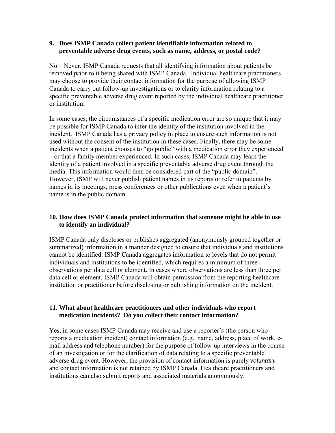#### <span id="page-5-0"></span>**9. Does ISMP Canada collect patient identifiable information related to preventable adverse drug events, such as name, address, or postal code?**

No – Never. ISMP Canada requests that all identifying information about patients be removed *prior* to it being shared with ISMP Canada. Individual healthcare practitioners may choose to provide their contact information for the purpose of allowing ISMP Canada to carry out follow-up investigations or to clarify information relating to a specific preventable adverse drug event reported by the individual healthcare practitioner or institution.

In some cases, the circumstances of a specific medication error are so unique that it may be possible for ISMP Canada to infer the identity of the institution involved in the incident. ISMP Canada has a privacy policy in place to ensure such information is not used without the consent of the institution in these cases. Finally, there may be some incidents when a patient chooses to "go public" with a medication error they experienced – or that a family member experienced. In such cases, ISMP Canada may learn the identity of a patient involved in a specific preventable adverse drug event through the media. This information would then be considered part of the "public domain". However, ISMP will never publish patient names in its reports or refer to patients by names in its meetings, press conferences or other publications even when a patient's name is in the public domain.

# **10. How does ISMP Canada protect information that someone might be able to use to identify an individual?**

ISMP Canada only discloses or publishes aggregated (anonymously grouped together or summarized) information in a manner designed to ensure that individuals and institutions cannot be identified. ISMP Canada aggregates information to levels that do not permit individuals and institutions to be identified, which requires a minimum of three observations per data cell or element. In cases where observations are less than three per data cell or element, ISMP Canada will obtain permission from the reporting healthcare institution or practitioner before disclosing or publishing information on the incident.

#### **11. What about healthcare practitioners and other individuals who report medication incidents? Do you collect their contact information?**

Yes, in some cases ISMP Canada may receive and use a reporter's (the person who reports a medication incident) contact information (e.g., name, address, place of work, email address and telephone number) for the purpose of follow-up interviews in the course of an investigation or for the clarification of data relating to a specific preventable adverse drug event. However, the provision of contact information is purely *voluntary* and contact information is not retained by ISMP Canada. Healthcare practitioners and institutions can also submit reports and associated materials anonymously.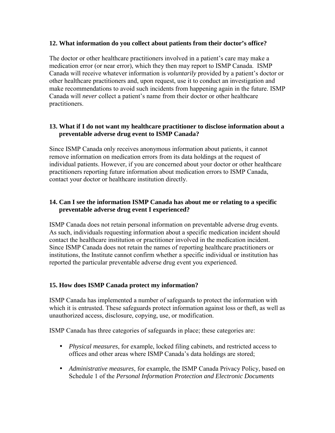#### <span id="page-6-0"></span>**12. What information do you collect about patients from their doctor's office?**

The doctor or other healthcare practitioners involved in a patient's care may make a medication error (or near error), which they then may report to ISMP Canada. ISMP Canada will receive whatever information is *voluntarily* provided by a patient's doctor or other healthcare practitioners and, upon request, use it to conduct an investigation and make recommendations to avoid such incidents from happening again in the future. ISMP Canada will *never* collect a patient's name from their doctor or other healthcare practitioners.

#### **13. What if I do not want my healthcare practitioner to disclose information about a preventable adverse drug event to ISMP Canada?**

Since ISMP Canada only receives anonymous information about patients, it cannot remove information on medication errors from its data holdings at the request of individual patients. However, if you are concerned about your doctor or other healthcare practitioners reporting future information about medication errors to ISMP Canada, contact your doctor or healthcare institution directly.

# **14. Can I see the information ISMP Canada has about me or relating to a specific preventable adverse drug event I experienced?**

ISMP Canada does not retain personal information on preventable adverse drug events. As such, individuals requesting information about a specific medication incident should contact the healthcare institution or practitioner involved in the medication incident. Since ISMP Canada does not retain the names of reporting healthcare practitioners or institutions, the Institute cannot confirm whether a specific individual or institution has reported the particular preventable adverse drug event you experienced.

# **15. How does ISMP Canada protect my information?**

ISMP Canada has implemented a number of safeguards to protect the information with which it is entrusted. These safeguards protect information against loss or theft, as well as unauthorized access, disclosure, copying, use, or modification.

ISMP Canada has three categories of safeguards in place; these categories are:

- *Physical measures*, for example, locked filing cabinets, and restricted access to offices and other areas where ISMP Canada's data holdings are stored;
- *Administrative measures*, for example, the ISMP Canada Privacy Policy, based on Schedule 1 of the *Personal Information Protection and Electronic Documents*